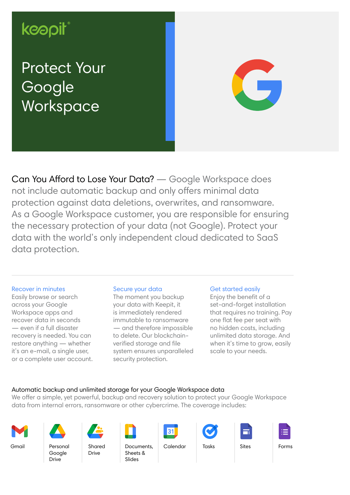# keapit

# Protect Your Google **Workspace**



Can You Afford to Lose Your Data? — Google Workspace does not include automatic backup and only offers minimal data protection against data deletions, overwrites, and ransomware. As a Google Workspace customer, you are responsible for ensuring the necessary protection of your data (not Google). Protect your data with the world's only independent cloud dedicated to SaaS data protection.

#### Recover in minutes

Easily browse or search across your Google Workspace apps and recover data in seconds — even if a full disaster recovery is needed. You can restore anything — whether it's an e-mail, a single user, or a complete user account.

#### Secure your data

The moment you backup your data with Keepit, it is immediately rendered immutable to ransomware — and therefore impossible to delete. Our blockchainverified storage and file system ensures unparalleled security protection.

#### Get started easily

Enjoy the benefit of a set-and-forget installation that requires no training. Pay one flat fee per seat with no hidden costs, including unlimited data storage. And when it's time to grow, easily scale to your needs.

## Automatic backup and unlimited storage for your Google Workspace data

We offer a simple, yet powerful, backup and recovery solution to protect your Google Workspace data from internal errors, ransomware or other cybercrime. The coverage includes:



Personal Google Drive

Gmail Documents, Calendar Tasks Sites Shared Drive



Sheets & Slides









Forms